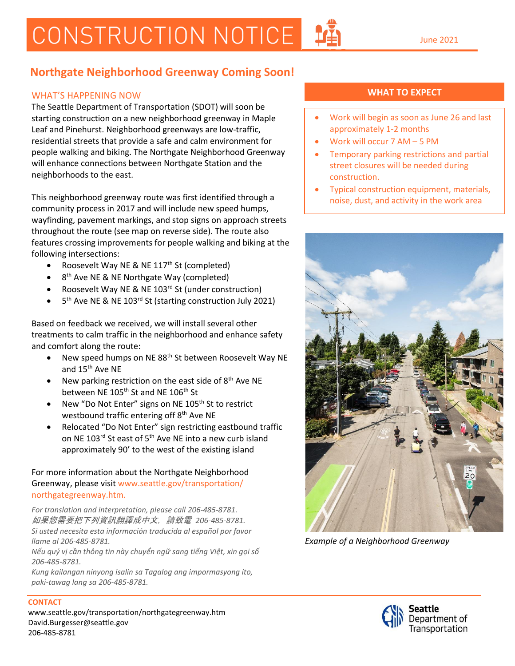# CONSTRUCTION NOTICE

### **Northgate Neighborhood Greenway Coming Soon!**

#### *businesses at all times. Thank you for your*  WHAT'S HAPPENING NOW

*patience while we work to improve*  The Seattle Department of Transportation (SDOT) will soon be *Seattle's streets!* starting construction on a new neighborhood greenway in Maple Leaf and Pinehurst. Neighborhood greenways are low-traffic, residential streets that provide a safe and calm environment for people walking and biking. The Northgate Neighborhood Greenway will enhance connections between Northgate Station and the neighborhoods to the east.

This neighborhood greenway route was first identified through a community process in 2017 and will include new speed humps, wayfinding, pavement markings, and stop signs on approach streets throughout the route (see map on reverse side). The route also features crossing improvements for people walking and biking at the following intersections:

- Roosevelt Way NE & NE  $117<sup>th</sup>$  St (completed)
- 8<sup>th</sup> Ave NE & NE Northgate Way (completed)
- Roosevelt Way NE & NE 103<sup>rd</sup> St (under construction)
- 5<sup>th</sup> Ave NE & NE 103<sup>rd</sup> St (starting construction July 2021)

Based on feedback we received, we will install several other treatments to calm traffic in the neighborhood and enhance safety and comfort along the route:

- New speed humps on NE 88<sup>th</sup> St between Roosevelt Way NE and 15th Ave NE
- New parking restriction on the east side of  $8<sup>th</sup>$  Ave NE between NE 105<sup>th</sup> St and NE 106<sup>th</sup> St
- New "Do Not Enter" signs on NE 105<sup>th</sup> St to restrict westbound traffic entering off 8<sup>th</sup> Ave NE
- Relocated "Do Not Enter" sign restricting eastbound traffic on NE 103<sup>rd</sup> St east of 5<sup>th</sup> Ave NE into a new curb island approximately 90' to the west of the existing island

#### For more information about the Northgate Neighborhood Greenway, please visit www.seattle.gov/transportation/ northgategreenway.htm.

*For translation and interpretation, please call 206-485-8781.* 如果您需要把下列資訊翻譯成中文,請致電 *206-485-8781. Si usted necesita esta información traducida al español por favor llame al 206-485-8781.*

*Nếu quý vị cần thông tin này chuyển ngữ sang tiếng Việt, xin gọi số 206-485-8781.*

*Kung kailangan ninyong isalin sa Tagalog ang impormasyong ito, paki-tawag lang sa 206-485-8781.*

### **WHAT TO EXPECT**

- Work will begin as soon as June 26 and last approximately 1-2 months
- Work will occur 7 AM 5 PM
- Temporary parking restrictions and partial street closures will be needed during construction.
- Typical construction equipment, materials, noise, dust, and activity in the work area



*Example of a Neighborhood Greenway*



## **CONTACT**

www.seattle.gov/transportation/northgategreenway.htm David.Burgesser@seattle.gov 206-485-8781